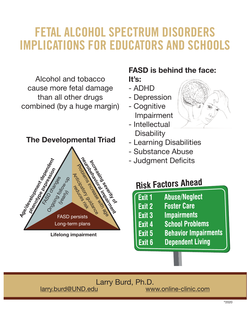# FETAL ALCOHOL SPECTRUM DISORDERS IMPLICATIONS FOR EDUCATORS AND SCHOOLS

Alcohol and tobacco cause more fetal damage than all other drugs combined (by a huge margin)

### **The Developmental Triad**



**Lifelong impairment**

### **FASD is behind the face:**

**It's:** 

- ADHD
- Depression

- Cognitive Impairment

- Intellectual **Disability**
- Learning Disabilities
- Substance Abuse
- Judgment Deficits

## **Risk Factors Ahead**

- Exit 1 **Abuse/Neglect**
- **Foster Care** Exit 2
- **Impairments** Exit<sub>3</sub>
- **School Problems** Exit 4
- **Behavior Impairments** Exit 5
- **Dependent Living** Exit 6

Larry Burd, Ph.D.<br>ww

www.online-clinic.com

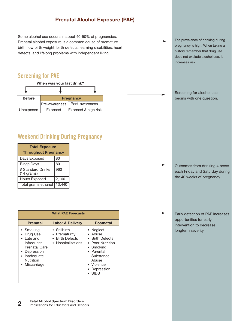### **Prenatal Alcohol Exposure (PAE)**

Some alcohol use occurs in about 40-50% of pregnancies. Prenatal alcohol exposure is a common cause of premature birth, low birth weight, birth defects, learning disabilities, heart defects, and lifelong problems with independent living.

### Screening for PAE

| When was your last drink?         |                                 |                     |  |  |
|-----------------------------------|---------------------------------|---------------------|--|--|
|                                   |                                 |                     |  |  |
| <b>Before</b><br><b>Pregnancy</b> |                                 |                     |  |  |
|                                   | Post-awareness<br>Pre-awareness |                     |  |  |
| Unexposed                         | Exposed                         | Exposed & high risk |  |  |

### Weekend Drinking During Pregnancy

| <b>Total Exposure</b><br><b>Throughout Pregnancy</b> |        |  |  |
|------------------------------------------------------|--------|--|--|
| Days Exposed                                         | 80     |  |  |
| <b>Binge Days</b>                                    | 80     |  |  |
| # Standard Drinks<br>(14 grams)                      | 960    |  |  |
| <b>Hours Exposed</b>                                 | 2,160  |  |  |
| Total grams ethanol                                  | 13,440 |  |  |

| <b>What PAE Forecasts</b>                                                                                                         |                                                                           |                                                                                                                                                            |  |  |
|-----------------------------------------------------------------------------------------------------------------------------------|---------------------------------------------------------------------------|------------------------------------------------------------------------------------------------------------------------------------------------------------|--|--|
| <b>Prenatal</b>                                                                                                                   | <b>Labor &amp; Delivery</b>                                               | Postnatal                                                                                                                                                  |  |  |
| • Smoking<br>Drug Use<br>Late and<br>Infrequent<br><b>Prenatal Care</b><br>• Depression<br>Inadequate<br>Nutrition<br>Miscarriage | • Stillbirth<br>• Prematurity<br><b>Birth Defects</b><br>Hospitalizations | • Neglect<br>• Abuse<br>• Birth Defects<br>• Poor Nutrition<br>• Smoking<br>• Parental<br>Substance<br>Abuse<br>• Violence<br>• Depression<br>$\cdot$ SIDS |  |  |

The prevalence of drinking during pregnancy is high. When taking a history remember that drug use does not exclude alcohol use. It increases risk.

Screening for alcohol use begins with one question.

Outcomes from drinking 4 beers each Friday and Saturday during the 40 weeks of pregnancy.

Early detection of PAE increases opportunities for early intervention to decrease longterm severity.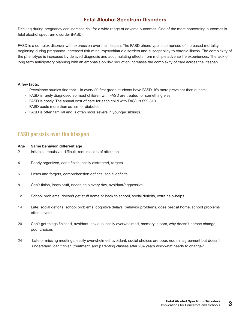### **Fetal Alcohol Spectrum Disorders**

Drinking during pregnancy can increase risk for a wide range of adverse outcomes. One of the most concerning outcomes is fetal alcohol spectrum disorder (FASD).

FASD is a complex disorder with expression over the lifespan. The FASD phenotype is comprised of increased mortality beginning during pregnancy, increased risk of neuropsychiatric disorders and susceptibility to chronic illness. The complexity of the phenotype is increased by delayed diagnosis and accumulating effects from multiple adverse life experiences. The lack of long term anticipatory planning with an emphasis on risk reduction increases the complexity of care across the lifespan.

#### **A few facts:**

- Prevalence studies find that 1 in every 20 first grade students have FASD. It's more prevalent than autism.
- FASD is rarely diagnosed so most children with FASD are treated for something else.
- FASD is costly. The annual cost of care for each child with FASD is \$22,810.
- FASD costs more than autism or diabetes.
- FASD is often familial and is often more severe in younger siblings.

### FASD persists over the lifespan

| Age |  | Same behavior, different age |  |  |
|-----|--|------------------------------|--|--|
|-----|--|------------------------------|--|--|

- 2 Irritable, impulsive, difficult, requires lots of attention
- 4 Poorly organized, can't finish, easily distracted, forgets
- 6 Loses and forgets, comprehension deficits, social deficits
- 8 Can't finish, loses stuff, needs help every day, avoidant/aggressive
- 12 School problems, doesn't get stuff home or back to school, social deficits, extra help-helps
- 14 Late, social deficits, school problems, cognitive delays, behavior problems, does best at home, school problems often severe
- 20 Can't get things finished, avoidant, anxious, easily overwhelmed, memory is poor, why doesn't he/she change, poor choices
- 24 Late or missing meetings, easily overwhelmed, avoidant, social choices are poor, nods in agreement but doesn't understand, can't finish (treatment, and parenting classes after 20+ years who/what needs to change?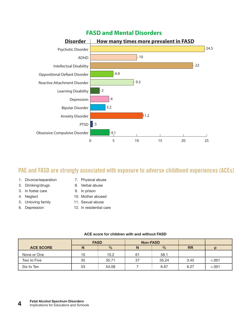

### PAE and FASD are strongly associated with exposure to adverse childhood experiences (ACEs)

- 1. Divorce/separation
- 7. Physical abuse
- 2. Drinking/drugs
- 3. In foster care
- 4. Neglect
- 5. Unloving family
- 6. Depression
- 8. Verbal abuse
- 9. In prison
- 10. Mother abused
- 11. Sexual abuse
- 12. In residential care

|                  | <b>FASD</b> |               | <b>Non-FASD</b> |               |           |        |
|------------------|-------------|---------------|-----------------|---------------|-----------|--------|
| <b>ACE SCORE</b> | N           | $\frac{0}{0}$ | N               | $\frac{0}{0}$ | <b>RR</b> |        |
| None or One      | 10          | 10.2          | 61              | 58.1          |           |        |
| Two to Five      | 35          | 35.71         | 37              | 35.24         | 3.45      | < .001 |
| Six to Ten       | 53          | 54.08         |                 | 6.67          | 6.27      | < .001 |

#### **ACE score for children with and without FASD**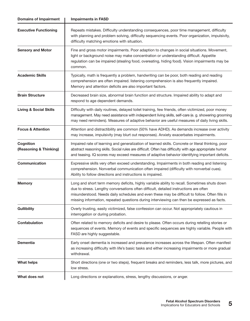| <b>Domains of Impairment</b>        | <b>Impairments in FASD</b>                                                                                                                                                                                                                                                                                                                                                             |  |  |  |
|-------------------------------------|----------------------------------------------------------------------------------------------------------------------------------------------------------------------------------------------------------------------------------------------------------------------------------------------------------------------------------------------------------------------------------------|--|--|--|
| <b>Executive Functioning</b>        | Repeats mistakes. Difficulty understanding consequences, poor time management, difficulty<br>with planning and problem solving, difficulty sequencing events. Poor organization, impulsivity,<br>difficulty matching emotions with situation.                                                                                                                                          |  |  |  |
| <b>Sensory and Motor</b>            | Fine and gross motor impairments. Poor adaption to changes in social situations. Movement,<br>light or background noise may make concentration or understanding difficult. Appetite<br>regulation can be impaired (stealing food, overeating, hiding food). Vision impairments may be<br>common.                                                                                       |  |  |  |
| <b>Academic Skills</b>              | Typically, math is frequently a problem, handwriting can be poor, both reading and reading<br>comprehension are often impaired. listening comprehension is also frequently impaired.<br>Memory and attention deficits are also important factors.                                                                                                                                      |  |  |  |
| <b>Brain Structure</b>              | Decreased brain size, abnormal brain function and structure. Impaired ability to adapt and<br>respond to age dependent demands.                                                                                                                                                                                                                                                        |  |  |  |
| <b>Living &amp; Social Skills</b>   | Difficulty with daily routines, delayed toilet training, few friends, often victimized, poor money<br>management. May need assistance with independent living skills, self-care (e. g. showering grooming<br>may need reminders). Measures of adaptive behavior are useful measures of daily living skills.                                                                            |  |  |  |
| <b>Focus &amp; Attention</b>        | Attention and distractibility are common (50% have ADHD). As demands increase over activity<br>may increase, impulsivity (may blurt out responses). Anxiety exacerbates impairments.                                                                                                                                                                                                   |  |  |  |
| Cognition<br>(Reasoning & Thinking) | Impaired rate of learning and generalization of learned skills. Concrete or literal thinking, poor<br>abstract reasoning skills. Social rules are difficult. Often has difficulty with age appropriate humor<br>and teasing. IQ scores may exceed measures of adaptive behavior identifying important deficits.                                                                        |  |  |  |
| Communication                       | Expressive skills very often exceed understanding. Impairments in both reading and listening<br>comprehension. Nonverbal communication often impaired (difficulty with nonverbal cues).<br>Ability to follow directions and instructions is impaired.                                                                                                                                  |  |  |  |
| <b>Memory</b>                       | Long and short term memory deficits, highly variable ability to recall. Sometimes shuts down<br>due to stress. Lengthy conversations often difficult, detailed instructions are often<br>misunderstood. Needs daily schedules and even these may be difficult to follow. Often fills in<br>missing information, repeated questions during interviewing can then be expressed as facts. |  |  |  |
| <b>Gullibility</b>                  | Overly trusting, easily victimized, false confession can occur. Not appropriately cautious in<br>interrogation or during probation.                                                                                                                                                                                                                                                    |  |  |  |
| <b>Confabulation</b>                | Often related to memory deficits and desire to please. Often occurs during retelling stories or<br>sequences of events. Memory of events and specific sequences are highly variable. People with<br>FASD are highly suggestable.                                                                                                                                                       |  |  |  |
| <b>Dementia</b>                     | Early onset dementia is increased and prevalence increases across the lifespan. Often manifest<br>as increasing difficulty with life's basic tasks and either increasing impairments or more gradual<br>withdrawal.                                                                                                                                                                    |  |  |  |
| <b>What helps</b>                   | Short directions (one or two steps), frequent breaks and reminders, less talk, more pictures, and<br>low stress.                                                                                                                                                                                                                                                                       |  |  |  |
| What does not                       | Long directions or explanations, stress, lengthy discussions, or anger.                                                                                                                                                                                                                                                                                                                |  |  |  |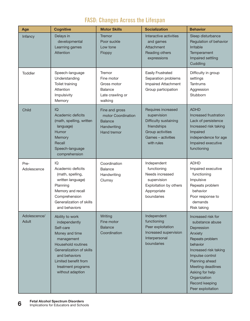### FASD: Changes Across the Lifespan

| Age                                                                                                                                                                                                                                | <b>Cognitive</b>                                                                                                                                                                                                          | <b>Motor Skills</b>                                                                                                               | <b>Socialization</b>                                                                                                                                          | <b>Behavior</b>                                                                                                                                                                                                                                            |
|------------------------------------------------------------------------------------------------------------------------------------------------------------------------------------------------------------------------------------|---------------------------------------------------------------------------------------------------------------------------------------------------------------------------------------------------------------------------|-----------------------------------------------------------------------------------------------------------------------------------|---------------------------------------------------------------------------------------------------------------------------------------------------------------|------------------------------------------------------------------------------------------------------------------------------------------------------------------------------------------------------------------------------------------------------------|
| Infancy                                                                                                                                                                                                                            | Delays in<br>developmental<br>Learning games<br>Attention                                                                                                                                                                 | Tremor<br>Poor suckle<br>Low tone<br>Floppy                                                                                       | Interactive activities<br>and games<br>Attachment<br>Reading others<br>expressions                                                                            | Sleep disturbance<br>Regulation of behavior<br>Irritable<br>Temperament<br>Impaired settling<br>Cuddling                                                                                                                                                   |
| <b>Toddler</b>                                                                                                                                                                                                                     | Speech-language<br>Understanding<br>Toilet training<br>Attention<br>Impulsivity<br>Memory                                                                                                                                 | Tremor<br>Fine motor<br>Gross motor<br><b>Balance</b><br>Late crawling or<br>walking                                              | <b>Easily Frustrated</b><br>Separation problems<br><b>Impaired Attachment</b><br>Group participation                                                          | Difficulty in group<br>settings<br><b>Tantrums</b><br>Aggression<br>Stubborn                                                                                                                                                                               |
| IQ<br>Child<br>Fine and gross<br>Academic deficits<br>motor Coordination<br>(math, spelling, written<br><b>Balance</b><br>language)<br>Handwriting<br>Humor<br>Hand tremor<br>Memory<br>Recall<br>Speech-language<br>comprehension |                                                                                                                                                                                                                           | Requires increased<br>supervision<br>Difficulty sustaining<br>friendships<br>Group activities<br>Games - activities<br>with rules | <b>ADHD</b><br>Increased frustration<br>Lack of persistence<br>Increased risk taking<br>Impaired<br>independence for age<br>Impaired executive<br>functioning |                                                                                                                                                                                                                                                            |
| Pre-<br>Adolescence                                                                                                                                                                                                                | IQ<br>Academic deficits<br>(math, spelling,<br>written language)<br>Planning<br>Memory and recall<br>Comprehension<br>Generalization of skills<br>and behaviors                                                           | Coordination<br><b>Balance</b><br>Handwriting<br>Clumsy                                                                           | Independent<br>functioning<br>Needs increased<br>supervision<br>Exploitation by others<br>Appropriate<br>boundaries                                           | <b>ADHD</b><br>Impaired executive<br>functioning<br>Impulsive<br>Repeats problem<br>behavior<br>Poor response to<br>demands<br>Risk taking                                                                                                                 |
| Adolescence/<br>Adult                                                                                                                                                                                                              | Ability to work<br>independently<br>Self-care<br>Money and time<br>management<br><b>Household routines</b><br>Generalization of skills<br>and behaviors<br>Limited benefit from<br>treatment programs<br>without adaption | Writing<br>Fine motor<br><b>Balance</b><br>Coordination                                                                           | Independent<br>functioning<br>Peer exploitation<br>Increased supervision<br>Interpersonal<br>boundaries                                                       | Increased risk for<br>substance abuse<br>Depression<br>Anxiety<br>Repeats problem<br>behavior<br>Increased risk taking<br>Impulse control<br>Planning ahead<br>Meeting deadlines<br>Asking for help<br>Organization<br>Record keeping<br>Peer exploitation |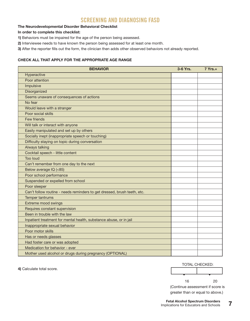### SCREENING AND DIAGNOSING FASD

#### **The Neurodevelopmental Disorder Behavioral Checklist**

#### **In order to complete this checklist:**

- **1)** Behaviors must be impaired for the age of the person being assessed.
- **2)** Interviewee needs to have known the person being assessed for at least one month.
- **3)** After the reporter fills out the form, the clinician then adds other observed behaviors not already reported.

#### **CHECK ALL THAT APPLY FOR THE APPROPRIATE AGE RANGE**

| <b>BEHAVIOR</b>                                                          | 3-6 Yrs. | $7$ Yrs. $+$ |
|--------------------------------------------------------------------------|----------|--------------|
| Hyperactive                                                              |          |              |
| Poor attention                                                           |          |              |
| Impulsive                                                                |          |              |
| Disorganized                                                             |          |              |
| Seems unaware of consequences of actions                                 |          |              |
| No fear                                                                  |          |              |
| Would leave with a stranger                                              |          |              |
| Poor social skills                                                       |          |              |
| Few friends                                                              |          |              |
| Will talk or interact with anyone                                        |          |              |
| Easily manipulated and set up by others                                  |          |              |
| Socially inept (inappropriate speech or touching)                        |          |              |
| Difficulty staying on topic during conversation                          |          |              |
| Always talking                                                           |          |              |
| Cocktail speech - little content                                         |          |              |
| <b>Too loud</b>                                                          |          |              |
| Can't remember from one day to the next                                  |          |              |
| Below average IQ (<85)                                                   |          |              |
| Poor school performance                                                  |          |              |
| Suspended or expelled from school                                        |          |              |
| Poor sleeper                                                             |          |              |
| Can't follow routine - needs reminders to get dressed, brush teeth, etc. |          |              |
| Temper tantrums                                                          |          |              |
| Extreme mood swings                                                      |          |              |
| Requires constant supervision                                            |          |              |
| Been in trouble with the law                                             |          |              |
| Inpatient treatment for mental health, substance abuse, or in jail       |          |              |
| Inappropriate sexual behavior                                            |          |              |
| Poor motor skills                                                        |          |              |
| Has or needs glasses                                                     |          |              |
| Had foster care or was adopted                                           |          |              |
| Medication for behavior - ever                                           |          |              |
| Mother used alcohol or drugs during pregnancy (OPTIONAL)                 |          |              |

**4)** Calculate total score.

TOTAL CHECKED:

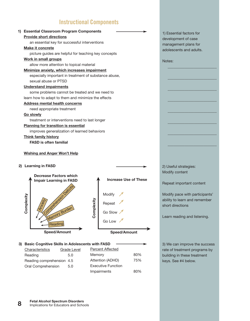### Instructional Components

| <b>Essential Classroom Program Components</b>         | 1) Essential factors for |
|-------------------------------------------------------|--------------------------|
| <b>Provide short directions</b>                       | development of case      |
| an essential key for successful interventions         | management plans for     |
| <b>Make it concrete</b>                               | adolescents and adults.  |
| picture guides are helpful for teaching key concepts  |                          |
| Work in small groups                                  | Notes:                   |
| allow more attention to topical material              |                          |
| Minimize anxiety, which increases impairment          |                          |
| especially important in treatment of substance abuse, |                          |
| sexual abuse or PTSD                                  |                          |
| <b>Understand impairments</b>                         |                          |
| some problems cannot be treated and we need to        |                          |
| learn how to adapt to them and minimize the effects   |                          |
| <b>Address mental health concerns</b>                 |                          |
| need appropriate treatment                            |                          |
| <b>Go slowly</b>                                      |                          |
| treatment or interventions need to last longer        |                          |
| <b>Planning for transition is essential</b>           |                          |
| improves generalization of learned behaviors          |                          |
| <b>Think family history</b>                           |                          |
| <b>FASD</b> is often familial                         |                          |
| <b>Wishing and Anger Won't Help</b>                   |                          |
|                                                       |                          |
| 2) Learning in FASD                                   | 2) Useful strategies:    |
|                                                       | Modify content           |
| <b>Decrease Factors which</b>                         |                          |



| 3) Basic Cognitive Skills in Adolescents with FASD |             |                           |     |
|----------------------------------------------------|-------------|---------------------------|-----|
| Characteristics                                    | Grade Level | <b>Percent Affected</b>   |     |
| Reading                                            | 5.0         | Memory                    | 80% |
| Reading comprehension 4.5                          |             | Attention (ADHD)          | 75% |
| Oral Comprehension                                 | 5.0         | <b>Executive Function</b> |     |
|                                                    |             | Impairments               | 80% |

Repeat important content

Modify pace with participants' ability to learn and remember short directions

Learn reading and listening.

3) We can improve the success rate of treatment programs by building in these treatment keys. See #4 below.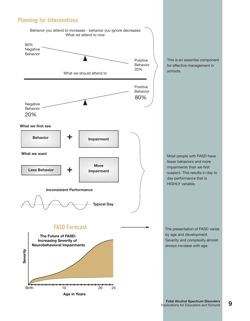### Planning for Interventions



This is an essential component for effective management in schools.

Most people with FASD have fewer behaviors and more impairments than we first suspect. This results in day to day performance that is HIGHLY variable.

The presentation of FASD varies by age and development. Severity and complexity almost always increase with age.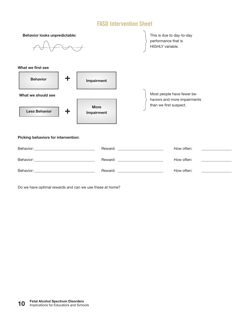### FASD Intervention Sheet



Do we have optimal rewards and can we use these at home?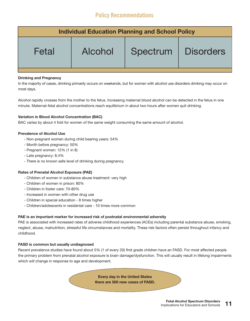### Policy Recommendations

| <b>Individual Education Planning and School Policy</b> |         |          |                  |  |
|--------------------------------------------------------|---------|----------|------------------|--|
| Fetal                                                  | Alcohol | Spectrum | <b>Disorders</b> |  |

#### **Drinking and Pregnancy**

In the majority of cases, drinking primarily occurs on weekends, but for women with alcohol use disorders drinking may occur on most days.

Alcohol rapidly crosses from the mother to the fetus. Increasing maternal blood alcohol can be detected in the fetus in one minute. Maternal-fetal alcohol concentrations reach equilibrium in about two hours after women quit drinking.

#### **Variation in Blood Alcohol Concentration (BAC)**

BAC varies by about 4 fold for women of the same weight consuming the same amount of alcohol.

#### **Prevalence of Alcohol Use**

- Non-pregnant women during child bearing years: 54%
- Month before pregnancy: 50%
- Pregnant women: 12% (1 in 8)
- Late pregnancy: 8.4%
- There is no known safe level of drinking during pregnancy.

#### **Rates of Prenatal Alcohol Exposure (PAE)**

- Children of women in substance abuse treatment: very high
- Children of women in prison: 80%
- Children in foster care: 70-80%
- Increased in women with other drug use
- Children in special education 8 times higher
- Children/adolescents in residental care 10 times more common

#### **PAE is an important marker for increased risk of postnatal environmental adversity**

PAE is associated with increased rates of adverse childhood experiences (ACEs) including parental substance abuse, smoking, neglect, abuse, malnutrition, stressful life circumstances and mortality. These risk factors often persist throughout infancy and childhood.

#### **FASD is common but usually undiagnosed**

Recent prevalence studies have found about 5% (1 of every 20) first grade children have an FASD. For most affected people the primary problem from prenatal alcohol exposure is brain damage/dysfunction. This will usually result in lifelong impairments which will change in response to age and development.

> **Every day in the United States there are 500 new cases of FASD.**